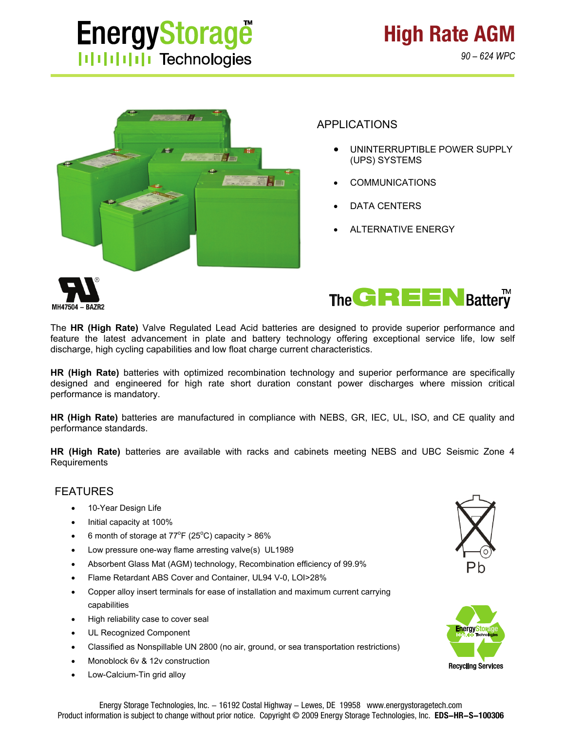# **EnergyStorage HIIIIIII** Technologies

**High Rate AGM**



# APPLICATIONS

- UNINTERRUPTIBLE POWER SUPPLY (UPS) SYSTEMS
- COMMUNICATIONS
- DATA CENTERS
- ALTERNATIVE ENERGY





The **HR (High Rate)** Valve Regulated Lead Acid batteries are designed to provide superior performance and feature the latest advancement in plate and battery technology offering exceptional service life, low self discharge, high cycling capabilities and low float charge current characteristics.

**HR (High Rate)** batteries with optimized recombination technology and superior performance are specifically designed and engineered for high rate short duration constant power discharges where mission critical performance is mandatory.

**HR (High Rate)** batteries are manufactured in compliance with NEBS, GR, IEC, UL, ISO, and CE quality and performance standards.

**HR (High Rate)** batteries are available with racks and cabinets meeting NEBS and UBC Seismic Zone 4 Requirements

### FEATURES

- 10-Year Design Life
- Initial capacity at 100%
- 6 month of storage at  $77^{\circ}$ F (25°C) capacity > 86%
- Low pressure one-way flame arresting valve(s) UL1989
- Absorbent Glass Mat (AGM) technology, Recombination efficiency of 99.9%
- Flame Retardant ABS Cover and Container, UL94 V-0, LOI>28%
- Copper alloy insert terminals for ease of installation and maximum current carrying capabilities
- High reliability case to cover seal
- UL Recognized Component
- Classified as Nonspillable UN 2800 (no air, ground, or sea transportation restrictions)
- Monoblock 6v & 12v construction
- Low-Calcium-Tin grid alloy



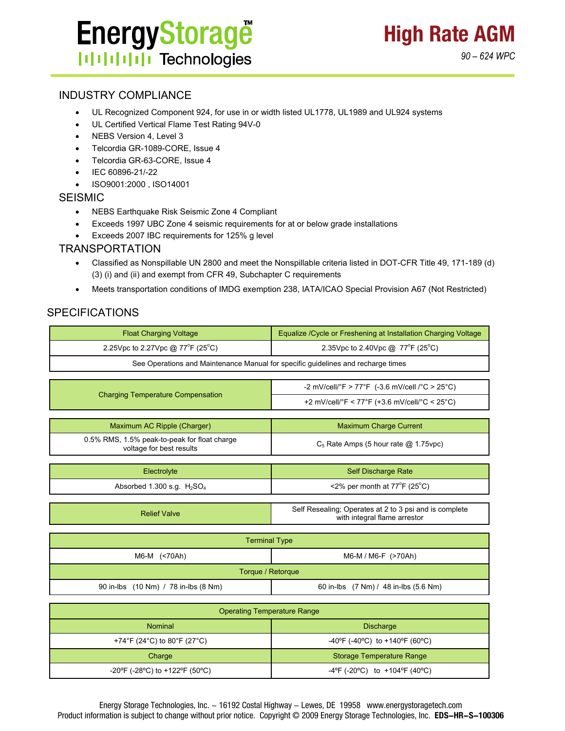

#### INDUSTRY COMPLIANCE

- UL Recognized Component 924, for use in or width listed UL1778, UL1989 and UL924 systems
- UL Certified Vertical Flame Test Rating 94V-0
- NEBS Version 4, Level 3
- Telcordia GR-1089-CORE, Issue 4
- Telcordia GR-63-CORE, Issue 4
- IEC 60896-21/-22
- ISO9001:2000 , ISO14001

#### SEISMIC

- NEBS Earthquake Risk Seismic Zone 4 Compliant
- Exceeds 1997 UBC Zone 4 seismic requirements for at or below grade installations
- Exceeds 2007 IBC requirements for 125% g level

#### TRANSPORTATION

- Classified as Nonspillable UN 2800 and meet the Nonspillable criteria listed in DOT-CFR Title 49, 171-189 (d) (3) (i) and (ii) and exempt from CFR 49, Subchapter C requirements
- Meets transportation conditions of IMDG exemption 238, IATA/ICAO Special Provision A67 (Not Restricted)

#### SPECIFICATIONS

| <b>Float Charging Voltage</b>                                                    | Equalize / Cycle or Freshening at Installation Charging Voltage                        |  |  |  |  |  |  |  |  |  |  |
|----------------------------------------------------------------------------------|----------------------------------------------------------------------------------------|--|--|--|--|--|--|--|--|--|--|
| 2.25Vpc to 2.27Vpc @ 77°F (25°C)                                                 | 2.35Vpc to 2.40Vpc @ 77°F (25°C)                                                       |  |  |  |  |  |  |  |  |  |  |
| See Operations and Maintenance Manual for specific guidelines and recharge times |                                                                                        |  |  |  |  |  |  |  |  |  |  |
|                                                                                  |                                                                                        |  |  |  |  |  |  |  |  |  |  |
| <b>Charging Temperature Compensation</b>                                         | -2 mV/cell/°F > 77°F (-3.6 mV/cell /°C > 25°C)                                         |  |  |  |  |  |  |  |  |  |  |
|                                                                                  | +2 mV/cell/°F < 77°F (+3.6 mV/cell/°C < 25°C)                                          |  |  |  |  |  |  |  |  |  |  |
|                                                                                  |                                                                                        |  |  |  |  |  |  |  |  |  |  |
| Maximum AC Ripple (Charger)                                                      | <b>Maximum Charge Current</b>                                                          |  |  |  |  |  |  |  |  |  |  |
| 0.5% RMS, 1.5% peak-to-peak for float charge<br>voltage for best results         | $C_5$ Rate Amps (5 hour rate $@$ 1.75vpc)                                              |  |  |  |  |  |  |  |  |  |  |
|                                                                                  |                                                                                        |  |  |  |  |  |  |  |  |  |  |
| Electrolyte                                                                      | <b>Self Discharge Rate</b>                                                             |  |  |  |  |  |  |  |  |  |  |
| Absorbed 1.300 s.g. $H_2SO_4$                                                    | <2% per month at $77^{\circ}$ F (25°C)                                                 |  |  |  |  |  |  |  |  |  |  |
|                                                                                  |                                                                                        |  |  |  |  |  |  |  |  |  |  |
| <b>Relief Valve</b>                                                              | Self Resealing; Operates at 2 to 3 psi and is complete<br>with integral flame arrestor |  |  |  |  |  |  |  |  |  |  |
|                                                                                  |                                                                                        |  |  |  |  |  |  |  |  |  |  |
| <b>Terminal Type</b>                                                             |                                                                                        |  |  |  |  |  |  |  |  |  |  |
| M6-M (<70Ah)                                                                     | M6-M / M6-F (>70Ah)                                                                    |  |  |  |  |  |  |  |  |  |  |
| Torque / Retorque                                                                |                                                                                        |  |  |  |  |  |  |  |  |  |  |
| 90 in-lbs (10 Nm) / 78 in-lbs (8 Nm)                                             | 60 in-lbs (7 Nm) / 48 in-lbs (5.6 Nm)                                                  |  |  |  |  |  |  |  |  |  |  |
|                                                                                  |                                                                                        |  |  |  |  |  |  |  |  |  |  |
| <b>Operating Temperature Range</b>                                               |                                                                                        |  |  |  |  |  |  |  |  |  |  |
| Nominal                                                                          | <b>Discharge</b>                                                                       |  |  |  |  |  |  |  |  |  |  |
| +74°F (24°C) to 80°F (27°C)                                                      | -40°F (-40°C) to +140°F (60°C)                                                         |  |  |  |  |  |  |  |  |  |  |

-20°F (-28°C) to +122°F (50°C)  $-4$ °F (-20°C) to +104°F (40°C)

Charge **Storage Temperature Range**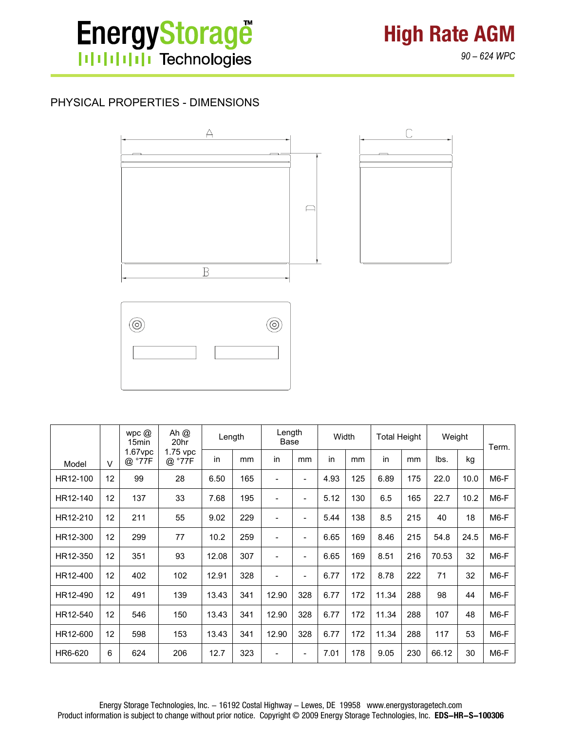

**High Rate AGM** *90 – 624 WPC*

## PHYSICAL PROPERTIES - DIMENSIONS



|          |        | wpc $@$<br>15 <sub>min</sub> | Ah @<br>20hr | Length |                    | Length<br>Base           |     | Width |     | <b>Total Height</b> |     | Weight |      | Term.  |    |  |
|----------|--------|------------------------------|--------------|--------|--------------------|--------------------------|-----|-------|-----|---------------------|-----|--------|------|--------|----|--|
| Model    | $\vee$ | $1.67$ vpc<br>@ °77F         |              |        | 1.75 vpc<br>@ °77F | in.                      | mm  | in    | mm  | in                  | mm  | in     | mm   | lbs.   | kg |  |
| HR12-100 | 12     | 99                           | 28           | 6.50   | 165                | $\overline{\phantom{a}}$ | ۰   | 4.93  | 125 | 6.89                | 175 | 22.0   | 10.0 | $M6-F$ |    |  |
| HR12-140 | 12     | 137                          | 33           | 7.68   | 195                | $\overline{\phantom{a}}$ | ۰   | 5.12  | 130 | 6.5                 | 165 | 22.7   | 10.2 | $M6-F$ |    |  |
| HR12-210 | 12     | 211                          | 55           | 9.02   | 229                | $\overline{\phantom{a}}$ | ۰   | 5.44  | 138 | 8.5                 | 215 | 40     | 18   | $M6-F$ |    |  |
| HR12-300 | 12     | 299                          | 77           | 10.2   | 259                | $\overline{\phantom{a}}$ | ۰   | 6.65  | 169 | 8.46                | 215 | 54.8   | 24.5 | $M6-F$ |    |  |
| HR12-350 | 12     | 351                          | 93           | 12.08  | 307                | $\overline{\phantom{a}}$ | ۰   | 6.65  | 169 | 8.51                | 216 | 70.53  | 32   | $M6-F$ |    |  |
| HR12-400 | 12     | 402                          | 102          | 12.91  | 328                | $\overline{\phantom{a}}$ | ۰   | 6.77  | 172 | 8.78                | 222 | 71     | 32   | $M6-F$ |    |  |
| HR12-490 | 12     | 491                          | 139          | 13.43  | 341                | 12.90                    | 328 | 6.77  | 172 | 11.34               | 288 | 98     | 44   | $M6-F$ |    |  |
| HR12-540 | 12     | 546                          | 150          | 13.43  | 341                | 12.90                    | 328 | 6.77  | 172 | 11.34               | 288 | 107    | 48   | $M6-F$ |    |  |
| HR12-600 | 12     | 598                          | 153          | 13.43  | 341                | 12.90                    | 328 | 6.77  | 172 | 11.34               | 288 | 117    | 53   | $M6-F$ |    |  |
| HR6-620  | 6      | 624                          | 206          | 12.7   | 323                | $\overline{\phantom{a}}$ | ۰   | 7.01  | 178 | 9.05                | 230 | 66.12  | 30   | $M6-F$ |    |  |